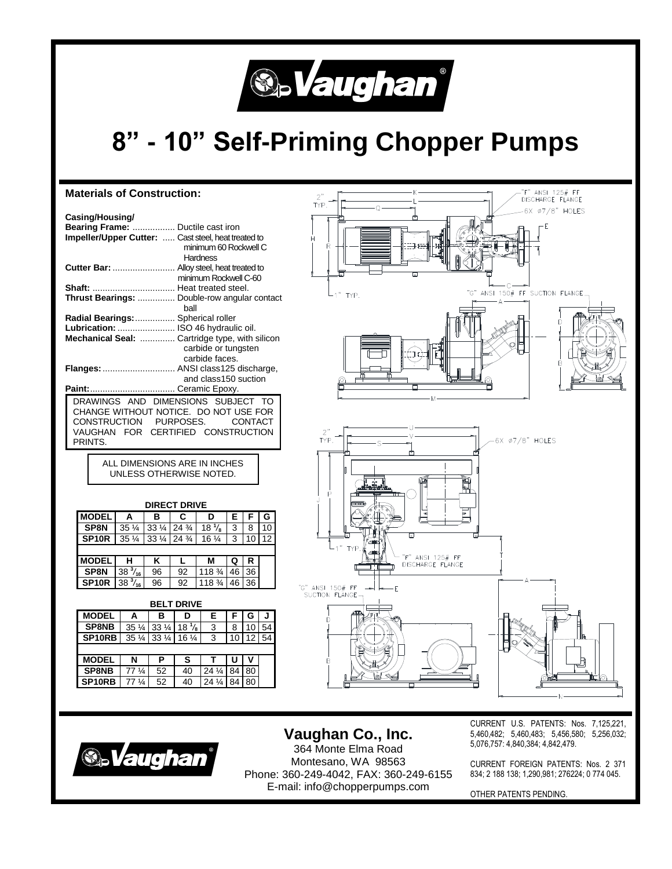

# **8" - 10" Self-Priming Chopper Pumps**

#### **Materials of Construction:** TYP. **Casing/Housing/ Bearing Frame:** ................. Ductile cast iron **Impeller/Upper Cutter:** ..... Cast steel, heat treated to minimum 60 Rockwell C **Hardness Cutter Bar:** ......................... Alloy steel, heat treated to minimum Rockwell C-60 **Shaft:** ................................. Heat treated steel.  $-1$ <sup>n</sup> **TYP Thrust Bearings:** ............... Double-row angular contact ball **Radial Bearings:**................ Spherical roller **Lubrication:** ....................... ISO 46 hydraulic oil. **Mechanical Seal:** .............. Cartridge type, with silicon carbide or tungsten carbide faces. **Flanges:**............................. ANSI class125 discharge, and class150 suction **Paint:**.................................. Ceramic Epoxy. DRAWINGS AND DIMENSIONS SUBJECT TO CHANGE WITHOUT NOTICE. DO NOT USE FOR CONSTRUCTION PURPOSES. CONTACT VAUGHAN FOR CERTIFIED CONSTRUCTION TYP. PRINTS. ALL DIMENSIONS ARE IN INCHES UNLESS OTHERWISE NOTED.**DIRECT DRIVE**

| <b>MODEL</b>      | А                           | в  | C             | D                | Е  |    | G                 |  |  |  |  |  |
|-------------------|-----------------------------|----|---------------|------------------|----|----|-------------------|--|--|--|--|--|
| SP8N              | $35\frac{1}{4}$             |    | 33 1/4 24 3/4 | $18\frac{1}{8}$  | 3  | 8  | 10                |  |  |  |  |  |
| SP <sub>10R</sub> | $35\frac{1}{4}$             |    | 33 1/4 24 3/4 | $16\frac{1}{4}$  | 3  | 10 | $12 \overline{ }$ |  |  |  |  |  |
|                   |                             |    |               |                  |    |    |                   |  |  |  |  |  |
| <b>MODEL</b>      | н                           | κ  |               | м                | Q  | R  |                   |  |  |  |  |  |
| SP8N              | $\overline{38\frac{3}{16}}$ | 96 | 92            | $118\frac{3}{4}$ | 46 | 36 |                   |  |  |  |  |  |
| SP <sub>10R</sub> | $38\frac{3}{16}$            | 96 | 92            | 118 3/4          | 46 | 36 |                   |  |  |  |  |  |
|                   |                             |    |               |                  |    |    |                   |  |  |  |  |  |

### **BELT DRIVE**

| ---------          |                                |                 |                 |                 |    |    |    |  |  |  |  |  |
|--------------------|--------------------------------|-----------------|-----------------|-----------------|----|----|----|--|--|--|--|--|
| <b>MODEL</b>       | А                              | в               | D               | Е               |    | G  |    |  |  |  |  |  |
| <b>SP8NB</b>       | $35\frac{1}{4}$                | $33\frac{1}{4}$ | $18\frac{1}{8}$ | 3               | 8  | 10 | 54 |  |  |  |  |  |
| SP <sub>10RB</sub> | $35\frac{1}{4}$                | $33\frac{1}{4}$ | $16\frac{1}{4}$ | 3               | 10 | 12 | 54 |  |  |  |  |  |
|                    |                                |                 |                 |                 |    |    |    |  |  |  |  |  |
| <b>MODEL</b>       | N                              | Р               | s               |                 |    |    |    |  |  |  |  |  |
| <b>SP8NB</b>       | 77 <sup>1</sup> / <sub>4</sub> | 52              | 40              | $24\frac{1}{4}$ | 84 | 80 |    |  |  |  |  |  |
| SP <sub>10RB</sub> | ¼                              | 52              | 40              |                 |    | 80 |    |  |  |  |  |  |





**Vaughan Co., Inc.** 364 Monte Elma Road

Montesano, WA 98563 Phone: 360-249-4042, FAX: 360-249-6155 E-mail: info@chopperpumps.com

CURRENT U.S. PATENTS: Nos. 7,125,221, 5,460,482; 5,460,483; 5,456,580; 5,256,032; 5,076,757: 4,840,384; 4,842,479.

CURRENT FOREIGN PATENTS: Nos. 2 371 834; 2 188 138; 1,290,981; 276224; 0 774 045.

OTHER PATENTS PENDING.